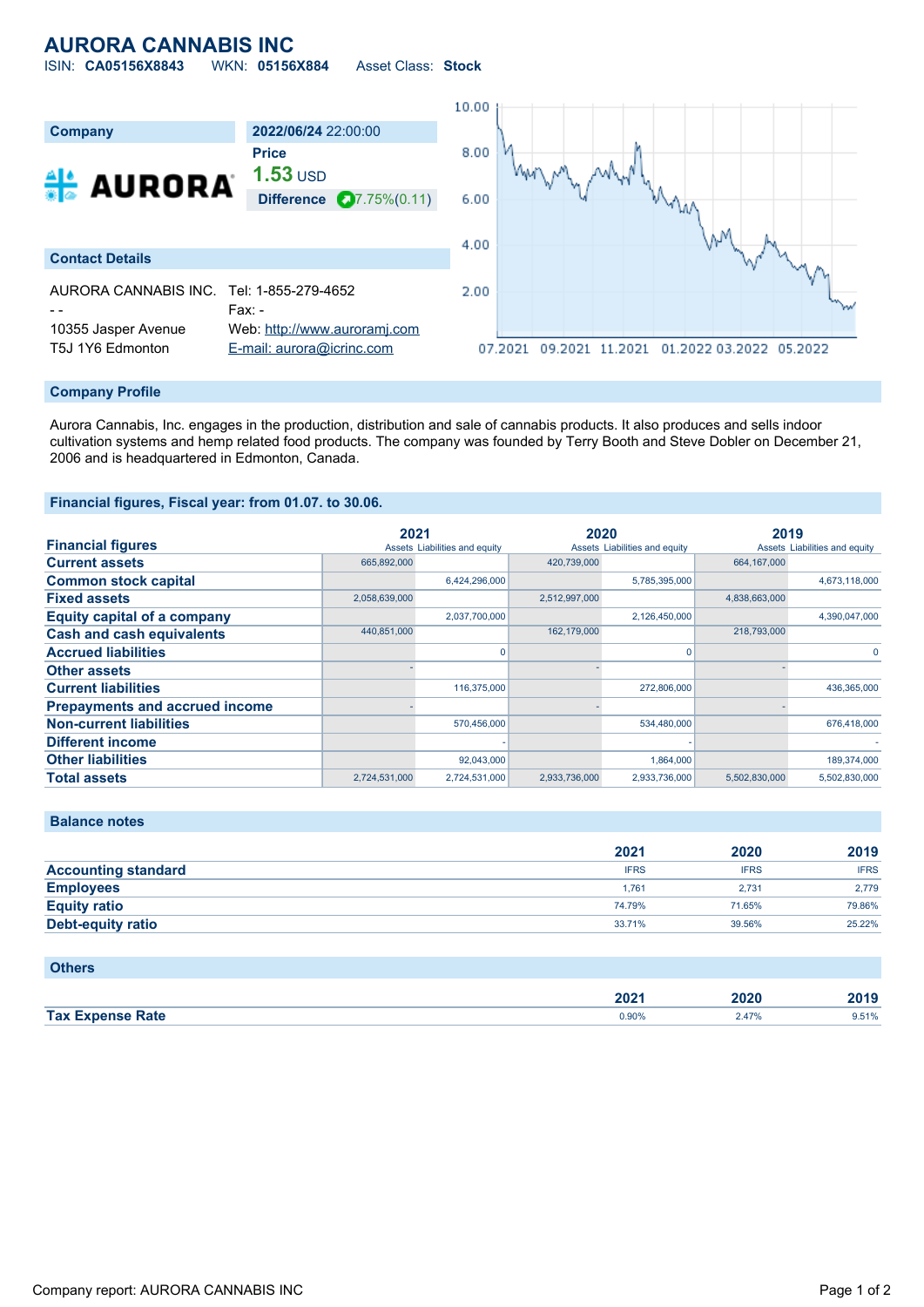## **AURORA CANNABIS INC** ISIN: **CA05156X8843** WKN: **05156X884** Asset Class: **Stock**

10.00 **Company 2022/06/24** 22:00:00 **Price** 8.00 **1.53** USD **A** AURORA may **Difference 27.75%(0.11)**  $6.00$ M 4.00 **Contact Details** AURORA CANNABIS INC. Tel: 1-855-279-4652 2.00 - - Fax: - 10355 Jasper Avenue Web: [http://www.auroramj.com](http://www.auroramj.com/)

#### **Company Profile**

Aurora Cannabis, Inc. engages in the production, distribution and sale of cannabis products. It also produces and sells indoor cultivation systems and hemp related food products. The company was founded by Terry Booth and Steve Dobler on December 21, 2006 and is headquartered in Edmonton, Canada.

07.2021 09.2021 11.2021 01.2022 03.2022 05.2022

### **Financial figures, Fiscal year: from 01.07. to 30.06.**

T5J 1Y6 Edmonton [E-mail: aurora@icrinc.com](mailto:aurora@icrinc.com)

|                                       | 2021          |                               | 2020          |                               | 2019          |                               |
|---------------------------------------|---------------|-------------------------------|---------------|-------------------------------|---------------|-------------------------------|
| <b>Financial figures</b>              |               | Assets Liabilities and equity |               | Assets Liabilities and equity |               | Assets Liabilities and equity |
| <b>Current assets</b>                 | 665,892,000   |                               | 420,739,000   |                               | 664,167,000   |                               |
| <b>Common stock capital</b>           |               | 6,424,296,000                 |               | 5,785,395,000                 |               | 4,673,118,000                 |
| <b>Fixed assets</b>                   | 2,058,639,000 |                               | 2,512,997,000 |                               | 4,838,663,000 |                               |
| <b>Equity capital of a company</b>    |               | 2,037,700,000                 |               | 2,126,450,000                 |               | 4,390,047,000                 |
| <b>Cash and cash equivalents</b>      | 440,851,000   |                               | 162,179,000   |                               | 218,793,000   |                               |
| <b>Accrued liabilities</b>            |               |                               |               |                               |               |                               |
| <b>Other assets</b>                   |               |                               |               |                               |               |                               |
| <b>Current liabilities</b>            |               | 116,375,000                   |               | 272,806,000                   |               | 436,365,000                   |
| <b>Prepayments and accrued income</b> |               |                               |               |                               |               |                               |
| <b>Non-current liabilities</b>        |               | 570,456,000                   |               | 534,480,000                   |               | 676,418,000                   |
| <b>Different income</b>               |               |                               |               |                               |               |                               |
| <b>Other liabilities</b>              |               | 92,043,000                    |               | 1,864,000                     |               | 189,374,000                   |
| <b>Total assets</b>                   | 2,724,531,000 | 2,724,531,000                 | 2.933.736.000 | 2,933,736,000                 | 5.502.830.000 | 5,502,830,000                 |

### **Balance notes**

|                            | 2021        | 2020        | 2019        |
|----------------------------|-------------|-------------|-------------|
| <b>Accounting standard</b> | <b>IFRS</b> | <b>IFRS</b> | <b>IFRS</b> |
| <b>Employees</b>           | 1.761       | 2.731       | 2.779       |
| <b>Equity ratio</b>        | 74.79%      | 71.65%      | 79.86%      |
| <b>Debt-equity ratio</b>   | 33.71%      | 39.56%      | 25.22%      |

| <b>Others</b>           |       |       |       |
|-------------------------|-------|-------|-------|
|                         | 2021  | 2020  | 2019  |
| <b>Tax Expense Rate</b> | 0.90% | 2.47% | 9.51% |